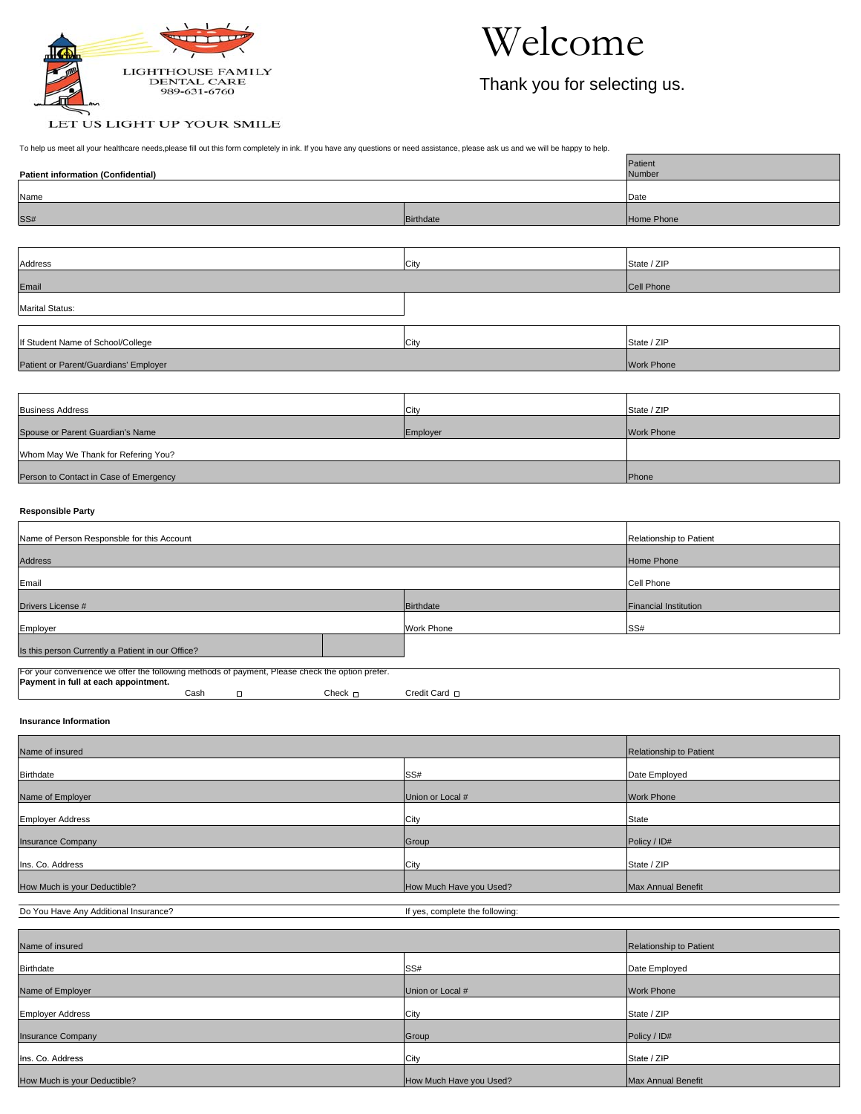

## Welcome

Thank you for selecting us.

## LET US LIGHT UP YOUR SMILE

To help us meet all your healthcare needs,please fill out this form completely in ink. If you have any questions or need assistance, please ask us and we will be happy to help.

| <b>Patient information (Confidential)</b> | Patient<br>Number |                   |
|-------------------------------------------|-------------------|-------------------|
| Name                                      |                   | Date              |
| SS#                                       | Birthdate         | Home Phone        |
|                                           |                   |                   |
| Address                                   | City              | State / ZIP       |
| Email                                     |                   | Cell Phone        |
| <b>Marital Status:</b>                    |                   |                   |
|                                           |                   |                   |
| If Student Name of School/College         | City              | State / ZIP       |
| Patient or Parent/Guardians' Employer     |                   | <b>Work Phone</b> |

| <b>Business Address</b>                | City     | State / ZIP       |  |
|----------------------------------------|----------|-------------------|--|
| Spouse or Parent Guardian's Name       | Employer | <b>Work Phone</b> |  |
| Whom May We Thank for Refering You?    |          |                   |  |
| Person to Contact in Case of Emergency |          | Phone             |  |

## **Responsible Party**

| Name of Person Responsble for this Account                                                      | Relationship to Patient |                   |                              |  |  |  |  |
|-------------------------------------------------------------------------------------------------|-------------------------|-------------------|------------------------------|--|--|--|--|
| <b>Address</b>                                                                                  | Home Phone              |                   |                              |  |  |  |  |
| Email                                                                                           | <b>Cell Phone</b>       |                   |                              |  |  |  |  |
| Drivers License #                                                                               |                         | Birthdate         | <b>Financial Institution</b> |  |  |  |  |
| Employer                                                                                        |                         | <b>Work Phone</b> | SS#                          |  |  |  |  |
| Is this person Currently a Patient in our Office?                                               |                         |                   |                              |  |  |  |  |
| For your convenience we offer the following methods of payment, Please check the option prefer. |                         |                   |                              |  |  |  |  |
| Payment in full at each appointment.<br>Cash<br>$\Box$                                          | Check $\Box$            | Credit Card D     |                              |  |  |  |  |

**Insurance Information**

| Name of insured              | Relationship to Patient |                    |  |  |  |  |
|------------------------------|-------------------------|--------------------|--|--|--|--|
| Birthdate                    | SS#<br>Date Employed    |                    |  |  |  |  |
| Name of Employer             | Union or Local #        | <b>Work Phone</b>  |  |  |  |  |
| <b>Employer Address</b>      | City                    | State              |  |  |  |  |
| <b>Insurance Company</b>     | Group                   | Policy / ID#       |  |  |  |  |
| Ins. Co. Address             | City                    | State / ZIP        |  |  |  |  |
| How Much is your Deductible? | How Much Have you Used? | Max Annual Benefit |  |  |  |  |

Do You Have Any Additional Insurance? If yes, complete the following:

| Name of insured              | Relationship to Patient |                    |
|------------------------------|-------------------------|--------------------|
| Birthdate                    | SS#                     | Date Employed      |
|                              |                         |                    |
| Name of Employer             | Union or Local #        | <b>Work Phone</b>  |
| <b>Employer Address</b>      | City                    | State / ZIP        |
| <b>Insurance Company</b>     | Group                   | Policy / ID#       |
| Ins. Co. Address             | City                    | State / ZIP        |
| How Much is your Deductible? | How Much Have you Used? | Max Annual Benefit |